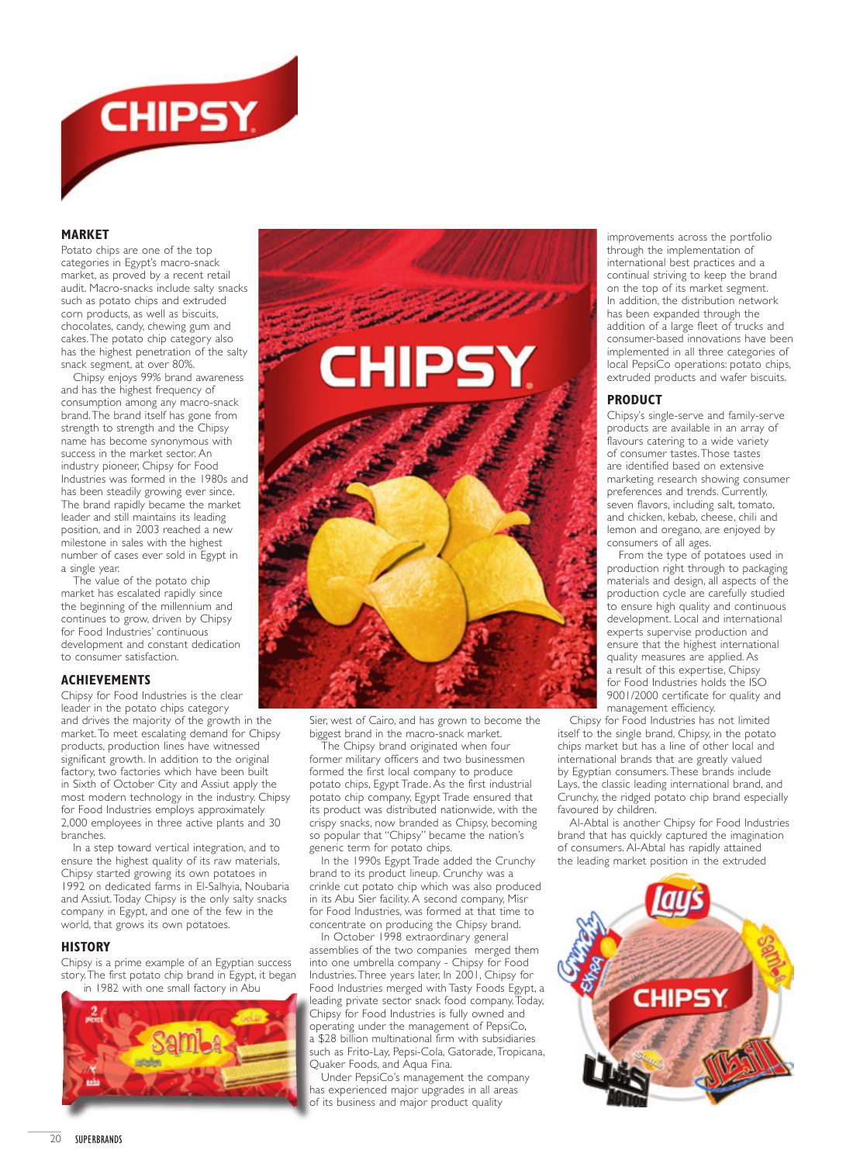

### **MARKET**

Potato chips are one of the top categories in Egypt's macro-snack market, as proved by a recent retail audit. Macro-snacks include salty snacks such as potato chips and extruded corn products, as well as biscuits, chocolates, candy, chewing gum and cakes. The potato chip category also has the highest penetration of the salty snack segment, at over 80%.

Chipsy enjoys 99% brand awareness and has the highest frequency of consumption among any macro-snack brand. The brand itself has gone from strength to strength and the Chipsy name has become synonymous with success in the market sector. An industry pioneer, Chipsy for Food Industries was formed in the 1980s and has been steadily growing ever since. The brand rapidly became the market leader and still maintains its leading position, and in 2003 reached a new milestone in sales with the highest number of cases ever sold in Egypt in a single year.

The value of the potato chip market has escalated rapidly since the beginning of the millennium and continues to grow, driven by Chipsy for Food Industries' continuous development and constant dedication to consumer satisfaction.

# **ACHIEVEMENTS**

Chipsy for Food Industries is the clear leader in the potato chips category and drives the majority of the growth in the market. To meet escalating demand for Chipsy products, production lines have witnessed significant growth. In addition to the original factory, two factories which have been built in Sixth of October City and Assiut apply the most modern technology in the industry. Chipsy for Food Industries employs approximately 2,000 employees in three active plants and 30 branches.

In a step toward vertical integration, and to ensure the highest quality of its raw materials, Chipsy started growing its own potatoes in 1992 on dedicated farms in El-Salhyia, Noubaria and Assiut. Today Chipsy is the only salty snacks company in Egypt, and one of the few in the world, that grows its own potatoes.

### **HISTORY**

Chipsy is a prime example of an Egyptian success story. The first potato chip brand in Egypt, it began in 1982 with one small factory in Abu





Sier, west of Cairo, and has grown to become the biggest brand in the macro-snack market.

The Chipsy brand originated when four former military officers and two businessmen formed the first local company to produce potato chips, Egypt Trade. As the first industrial potato chip company, Egypt Trade ensured that its product was distributed nationwide, with the crispy snacks, now branded as Chipsy, becoming so popular that "Chipsy" became the nation's generic term for potato chips.

In the 1990s Egypt Trade added the Crunchy brand to its product lineup. Crunchy was a crinkle cut potato chip which was also produced in its Abu Sier facility. A second company, Misr for Food Industries, was formed at that time to concentrate on producing the Chipsy brand.

In October 1998 extraordinary general assemblies of the two companies merged them into one umbrella company - Chipsy for Food Industries. Three years later, In 2001, Chipsy for Food Industries merged with Tasty Foods Egypt, a leading private sector snack food company. Today, Chipsy for Food Industries is fully owned and operating under the management of PepsiCo, a \$28 billion multinational firm with subsidiaries such as Frito-Lay, Pepsi-Cola, Gatorade, Tropicana, Quaker Foods, and Aqua Fina.

Under PepsiCo's management the company has experienced major upgrades in all areas of its business and major product quality

improvements across the portfolio through the implementation of international best practices and a continual striving to keep the brand on the top of its market segment. In addition, the distribution network has been expanded through the addition of a large fleet of trucks and consumer-based innovations have been implemented in all three categories of local PepsiCo operations: potato chips, extruded products and wafer biscuits.

## **PRODUCT**

Chipsy's single-serve and family-serve products are available in an array of flavours catering to a wide variety of consumer tastes. Those tastes are identified based on extensive marketing research showing consumer preferences and trends. Currently, seven flavors, including salt, tomato, and chicken, kebab, cheese, chili and lemon and oregano, are enjoyed by consumers of all ages.

From the type of potatoes used in production right through to packaging materials and design, all aspects of the production cycle are carefully studied to ensure high quality and continuous development. Local and international experts supervise production and ensure that the highest international quality measures are applied. As a result of this expertise, Chipsy for Food Industries holds the ISO 9001/2000 certificate for quality and management efficiency.

Chipsy for Food Industries has not limited itself to the single brand, Chipsy, in the potato chips market but has a line of other local and international brands that are greatly valued by Egyptian consumers. These brands include Lays, the classic leading international brand, and Crunchy, the ridged potato chip brand especially favoured by children.

Al-Abtal is another Chipsy for Food Industries brand that has quickly captured the imagination of consumers. Al-Abtal has rapidly attained the leading market position in the extruded